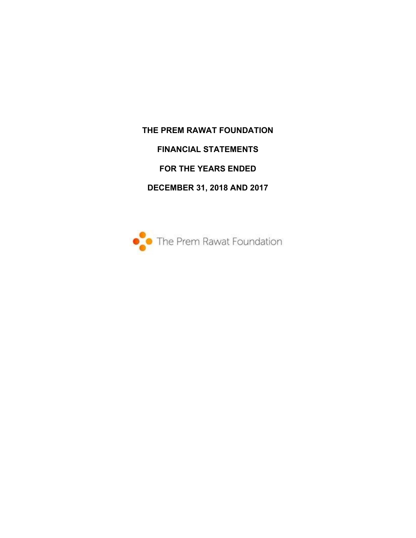**THE PREM RAWAT FOUNDATION FINANCIAL STATEMENTS FOR THE YEARS ENDED DECEMBER 31, 2018 AND 2017** 

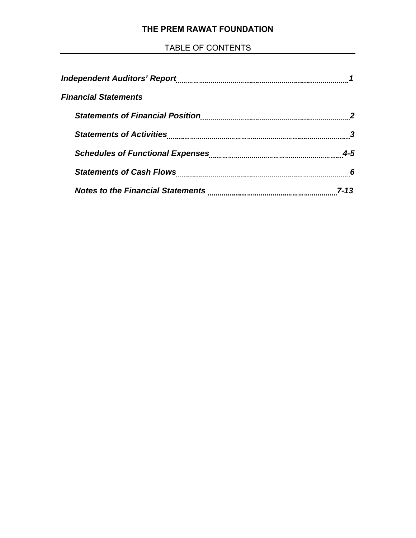# **THE PREM RAWAT FOUNDATION**

# TABLE OF CONTENTS

| <b>Financial Statements</b>             |         |
|-----------------------------------------|---------|
| <b>Statements of Financial Position</b> |         |
|                                         |         |
|                                         | $4 - 5$ |
|                                         | 6       |
|                                         |         |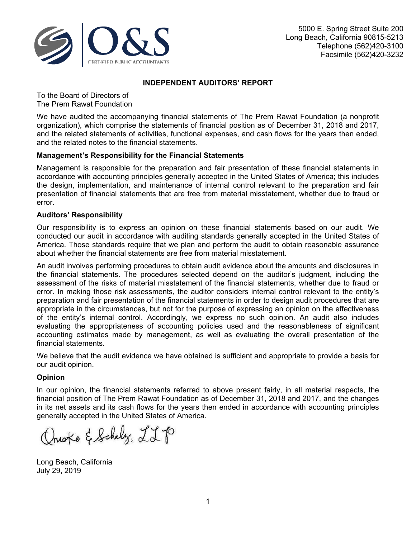

## **INDEPENDENT AUDITORS' REPORT**

To the Board of Directors of The Prem Rawat Foundation

We have audited the accompanying financial statements of The Prem Rawat Foundation (a nonprofit organization), which comprise the statements of financial position as of December 31, 2018 and 2017, and the related statements of activities, functional expenses, and cash flows for the years then ended, and the related notes to the financial statements.

# **Management's Responsibility for the Financial Statements**

Management is responsible for the preparation and fair presentation of these financial statements in accordance with accounting principles generally accepted in the United States of America; this includes the design, implementation, and maintenance of internal control relevant to the preparation and fair presentation of financial statements that are free from material misstatement, whether due to fraud or error.

### **Auditors' Responsibility**

Our responsibility is to express an opinion on these financial statements based on our audit. We conducted our audit in accordance with auditing standards generally accepted in the United States of America. Those standards require that we plan and perform the audit to obtain reasonable assurance about whether the financial statements are free from material misstatement.

An audit involves performing procedures to obtain audit evidence about the amounts and disclosures in the financial statements. The procedures selected depend on the auditor's judgment, including the assessment of the risks of material misstatement of the financial statements, whether due to fraud or error. In making those risk assessments, the auditor considers internal control relevant to the entity's preparation and fair presentation of the financial statements in order to design audit procedures that are appropriate in the circumstances, but not for the purpose of expressing an opinion on the effectiveness of the entity's internal control. Accordingly, we express no such opinion. An audit also includes evaluating the appropriateness of accounting policies used and the reasonableness of significant accounting estimates made by management, as well as evaluating the overall presentation of the financial statements.

We believe that the audit evidence we have obtained is sufficient and appropriate to provide a basis for our audit opinion.

### **Opinion**

In our opinion, the financial statements referred to above present fairly, in all material respects, the financial position of The Prem Rawat Foundation as of December 31, 2018 and 2017, and the changes in its net assets and its cash flows for the years then ended in accordance with accounting principles generally accepted in the United States of America.

Questo & Schelz, LLP

Long Beach, California July 29, 2019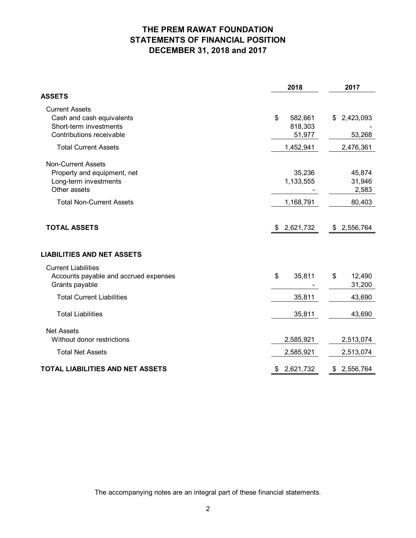# **THE PREM RAWAT FOUNDATION STATEMENTS OF FINANCIAL POSITION DECEMBER 31, 2018 and 2017**

|                                                                                                          | 2018                               | 2017                      |
|----------------------------------------------------------------------------------------------------------|------------------------------------|---------------------------|
| ASSETS                                                                                                   |                                    |                           |
| <b>Current Assets</b><br>Cash and cash equivalents<br>Short-term investments<br>Contributions receivable | \$<br>582,661<br>818,303<br>51,977 | \$2,423,093<br>53,268     |
| <b>Total Current Assets</b>                                                                              | 1,452,941                          | 2,476,361                 |
| <b>Non-Current Assets</b><br>Property and equipment, net<br>Long-term investments<br>Other assets        | 35,236<br>1,133,555                | 45,874<br>31,946<br>2,583 |
| <b>Total Non-Current Assets</b>                                                                          | 1,168,791                          | 80,403                    |
| <b>TOTAL ASSETS</b><br><b>LIABILITIES AND NET ASSETS</b>                                                 | \$2,621,732                        | \$2,556,764               |
| <b>Current Liabilities</b><br>Accounts payable and accrued expenses<br>Grants payable                    | \$<br>35,811                       | 12,490<br>\$<br>31,200    |
| <b>Total Current Liabilities</b>                                                                         | 35,811                             | 43,690                    |
| <b>Total Liabilities</b>                                                                                 | 35,811                             | 43,690                    |
| <b>Net Assets</b><br>Without donor restrictions                                                          | 2,585,921                          | 2,513,074                 |
| <b>Total Net Assets</b>                                                                                  | 2,585,921                          | 2,513,074                 |
| TOTAL LIABILITIES AND NET ASSETS                                                                         | 2,621,732<br>\$                    | \$2,556,764               |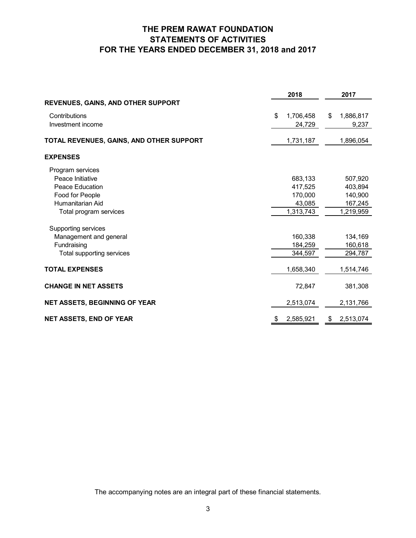# **THE PREM RAWAT FOUNDATION STATEMENTS OF ACTIVITIES FOR THE YEARS ENDED DECEMBER 31, 2018 and 2017**

|                                          | 2018            | 2017            |
|------------------------------------------|-----------------|-----------------|
| REVENUES, GAINS, AND OTHER SUPPORT       |                 |                 |
| Contributions                            | \$<br>1,706,458 | 1,886,817<br>\$ |
| Investment income                        | 24,729          | 9,237           |
| TOTAL REVENUES, GAINS, AND OTHER SUPPORT | 1,731,187       | 1,896,054       |
| <b>EXPENSES</b>                          |                 |                 |
| Program services                         |                 |                 |
| Peace Initiative                         | 683,133         | 507,920         |
| Peace Education                          | 417,525         | 403,894         |
| Food for People                          | 170,000         | 140,900         |
| Humanitarian Aid                         | 43,085          | 167,245         |
| Total program services                   | 1,313,743       | 1,219,959       |
| Supporting services                      |                 |                 |
| Management and general                   | 160,338         | 134,169         |
| Fundraising                              | 184,259         | 160,618         |
| Total supporting services                | 344,597         | 294,787         |
| <b>TOTAL EXPENSES</b>                    | 1,658,340       | 1,514,746       |
| <b>CHANGE IN NET ASSETS</b>              | 72,847          | 381,308         |
| <b>NET ASSETS, BEGINNING OF YEAR</b>     | 2,513,074       | 2,131,766       |
| <b>NET ASSETS, END OF YEAR</b>           | 2,585,921<br>\$ | 2,513,074<br>\$ |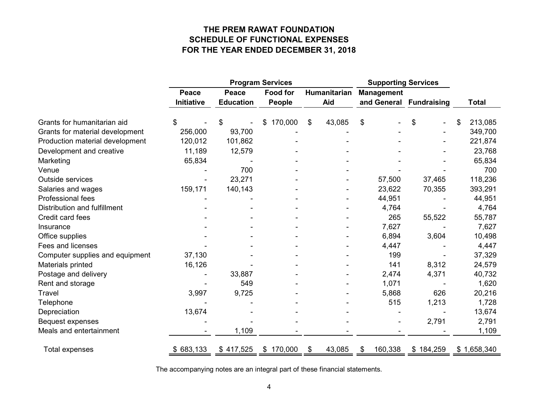# **THE PREM RAWAT FOUNDATION SCHEDULE OF FUNCTIONAL EXPENSES FOR THE YEAR ENDED DECEMBER 31, 2018**

|                                 |                   | <b>Program Services</b> |                 |    |              | <b>Supporting Services</b> |                    |    |              |
|---------------------------------|-------------------|-------------------------|-----------------|----|--------------|----------------------------|--------------------|----|--------------|
|                                 | Peace             | Peace                   | <b>Food for</b> |    | Humanitarian | <b>Management</b>          |                    |    |              |
|                                 | <b>Initiative</b> | <b>Education</b>        | People          |    | Aid          | and General                | <b>Fundraising</b> |    | <b>Total</b> |
| Grants for humanitarian aid     | S                 | \$                      | 170,000<br>\$.  | \$ | 43,085       | \$                         | \$                 | \$ | 213,085      |
| Grants for material development | 256,000           | 93,700                  |                 |    |              |                            |                    |    | 349,700      |
| Production material development | 120,012           | 101,862                 |                 |    |              |                            |                    |    | 221,874      |
| Development and creative        | 11,189            | 12,579                  |                 |    |              |                            |                    |    | 23,768       |
| Marketing                       | 65,834            |                         |                 |    |              |                            |                    |    | 65,834       |
| Venue                           |                   | 700                     |                 |    |              |                            |                    |    | 700          |
| Outside services                |                   | 23,271                  |                 |    |              | 57,500                     | 37,465             |    | 118,236      |
| Salaries and wages              | 159,171           | 140,143                 |                 |    |              | 23,622                     | 70,355             |    | 393,291      |
| Professional fees               |                   |                         |                 |    |              | 44,951                     |                    |    | 44,951       |
| Distribution and fulfillment    |                   |                         |                 |    |              | 4,764                      |                    |    | 4,764        |
| Credit card fees                |                   |                         |                 |    |              | 265                        | 55,522             |    | 55,787       |
| Insurance                       |                   |                         |                 |    |              | 7,627                      |                    |    | 7,627        |
| Office supplies                 |                   |                         |                 |    |              | 6,894                      | 3,604              |    | 10,498       |
| Fees and licenses               |                   |                         |                 |    |              | 4,447                      |                    |    | 4,447        |
| Computer supplies and equipment | 37,130            |                         |                 |    |              | 199                        |                    |    | 37,329       |
| Materials printed               | 16,126            |                         |                 |    |              | 141                        | 8,312              |    | 24,579       |
| Postage and delivery            |                   | 33,887                  |                 |    |              | 2,474                      | 4,371              |    | 40,732       |
| Rent and storage                |                   | 549                     |                 |    |              | 1,071                      |                    |    | 1,620        |
| Travel                          | 3,997             | 9,725                   |                 |    |              | 5,868                      | 626                |    | 20,216       |
| Telephone                       |                   |                         |                 |    |              | 515                        | 1,213              |    | 1,728        |
| Depreciation                    | 13,674            |                         |                 |    |              |                            |                    |    | 13,674       |
| <b>Bequest expenses</b>         |                   |                         |                 |    |              | $\overline{\phantom{a}}$   | 2,791              |    | 2,791        |
| Meals and entertainment         |                   | 1,109                   |                 |    |              |                            |                    |    | 1,109        |
| Total expenses                  | \$683,133         | \$417,525               | \$170,000       | \$ | 43,085       | 160,338<br>\$              | \$184,259          |    | \$1,658,340  |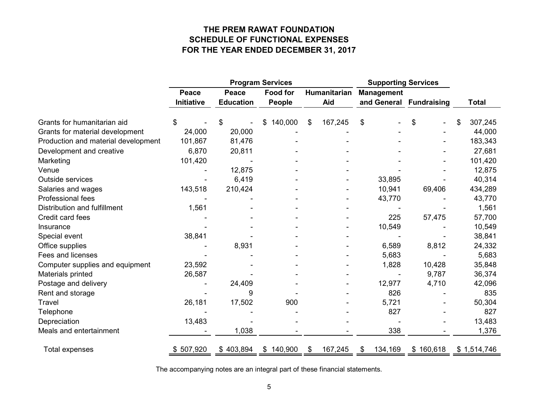# **THE PREM RAWAT FOUNDATION SCHEDULE OF FUNCTIONAL EXPENSES FOR THE YEAR ENDED DECEMBER 31, 2017**

|                                     | <b>Program Services</b> |                  |                 |              | <b>Supporting Services</b> |                         |           |    |              |
|-------------------------------------|-------------------------|------------------|-----------------|--------------|----------------------------|-------------------------|-----------|----|--------------|
|                                     | <b>Peace</b>            | Peace            | <b>Food for</b> | Humanitarian |                            | <b>Management</b>       |           |    |              |
|                                     | <b>Initiative</b>       | <b>Education</b> | <b>People</b>   | Aid          |                            | and General Fundraising |           |    | <b>Total</b> |
| Grants for humanitarian aid         |                         | \$               | 140,000<br>\$   | \$           | 167,245                    | \$                      | \$        | \$ | 307,245      |
| Grants for material development     | 24,000                  | 20,000           |                 |              |                            |                         |           |    | 44,000       |
| Production and material development | 101,867                 | 81,476           |                 |              |                            |                         |           |    | 183,343      |
| Development and creative            | 6,870                   | 20,811           |                 |              |                            |                         |           |    | 27,681       |
| Marketing                           | 101,420                 |                  |                 |              |                            |                         |           |    | 101,420      |
| Venue                               |                         | 12,875           |                 |              |                            |                         |           |    | 12,875       |
| Outside services                    |                         | 6,419            |                 |              |                            | 33,895                  |           |    | 40,314       |
| Salaries and wages                  | 143,518                 | 210,424          |                 |              |                            | 10,941                  | 69,406    |    | 434,289      |
| Professional fees                   |                         |                  |                 |              |                            | 43,770                  |           |    | 43,770       |
| Distribution and fulfillment        | 1,561                   |                  |                 |              |                            |                         |           |    | 1,561        |
| Credit card fees                    |                         |                  |                 |              |                            | 225                     | 57,475    |    | 57,700       |
| Insurance                           |                         |                  |                 |              |                            | 10,549                  |           |    | 10,549       |
| Special event                       | 38,841                  |                  |                 |              |                            |                         |           |    | 38,841       |
| Office supplies                     |                         | 8,931            |                 |              |                            | 6,589                   | 8,812     |    | 24,332       |
| Fees and licenses                   |                         |                  |                 |              |                            | 5,683                   |           |    | 5,683        |
| Computer supplies and equipment     | 23,592                  |                  |                 |              |                            | 1,828                   | 10,428    |    | 35,848       |
| Materials printed                   | 26,587                  |                  |                 |              |                            |                         | 9,787     |    | 36,374       |
| Postage and delivery                |                         | 24,409           |                 |              |                            | 12,977                  | 4,710     |    | 42,096       |
| Rent and storage                    |                         | 9                |                 |              |                            | 826                     |           |    | 835          |
| Travel                              | 26,181                  | 17,502           | 900             |              |                            | 5,721                   |           |    | 50,304       |
| Telephone                           |                         |                  |                 |              |                            | 827                     |           |    | 827          |
| Depreciation                        | 13,483                  |                  |                 |              |                            |                         |           |    | 13,483       |
| Meals and entertainment             |                         | 1,038            |                 |              |                            | 338                     |           |    | 1,376        |
| Total expenses                      | \$507,920               | \$403,894        | \$140,900       | \$           | 167,245                    | 134,169<br>\$           | \$160,618 |    | \$1,514,746  |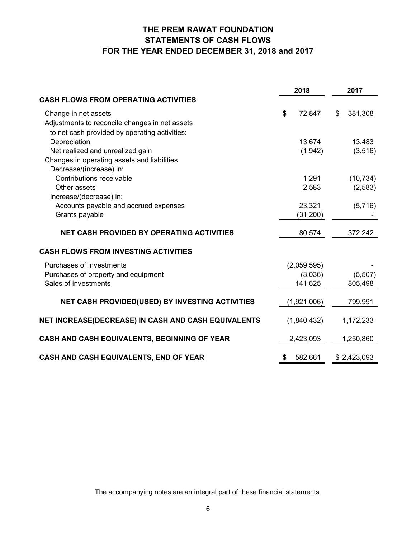# **THE PREM RAWAT FOUNDATION STATEMENTS OF CASH FLOWS FOR THE YEAR ENDED DECEMBER 31, 2018 and 2017**

|                                                     | 2018          |                | 2017        |
|-----------------------------------------------------|---------------|----------------|-------------|
| <b>CASH FLOWS FROM OPERATING ACTIVITIES</b>         |               |                |             |
| Change in net assets                                | \$<br>72,847  | $\mathfrak{S}$ | 381,308     |
| Adjustments to reconcile changes in net assets      |               |                |             |
| to net cash provided by operating activities:       |               |                |             |
| Depreciation                                        | 13,674        |                | 13,483      |
| Net realized and unrealized gain                    | (1,942)       |                | (3, 516)    |
| Changes in operating assets and liabilities         |               |                |             |
| Decrease/(increase) in:                             |               |                |             |
| Contributions receivable                            | 1,291         |                | (10, 734)   |
| Other assets                                        | 2,583         |                | (2,583)     |
| Increase/(decrease) in:                             |               |                |             |
| Accounts payable and accrued expenses               | 23,321        |                | (5,716)     |
| Grants payable                                      | (31, 200)     |                |             |
| <b>NET CASH PROVIDED BY OPERATING ACTIVITIES</b>    | 80,574        |                | 372,242     |
| <b>CASH FLOWS FROM INVESTING ACTIVITIES</b>         |               |                |             |
| Purchases of investments                            | (2,059,595)   |                |             |
| Purchases of property and equipment                 | (3,036)       |                | (5,507)     |
| Sales of investments                                | 141,625       |                | 805,498     |
| NET CASH PROVIDED(USED) BY INVESTING ACTIVITIES     | (1,921,006)   |                | 799,991     |
|                                                     |               |                |             |
| NET INCREASE(DECREASE) IN CASH AND CASH EQUIVALENTS | (1,840,432)   |                | 1,172,233   |
| CASH AND CASH EQUIVALENTS, BEGINNING OF YEAR        | 2,423,093     |                | 1,250,860   |
| CASH AND CASH EQUIVALENTS, END OF YEAR              | \$<br>582,661 |                | \$2,423,093 |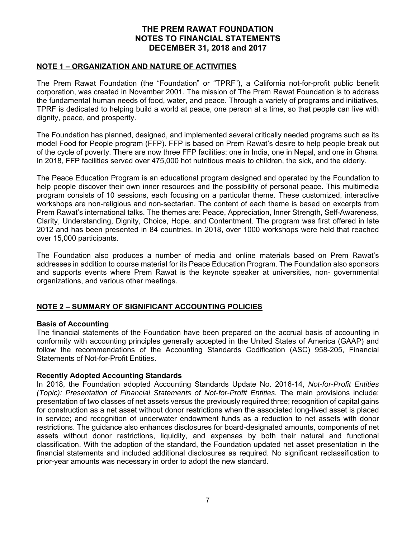### **NOTE 1 – ORGANIZATION AND NATURE OF ACTIVITIES**

The Prem Rawat Foundation (the "Foundation" or "TPRF"), a California not-for-profit public benefit corporation, was created in November 2001. The mission of The Prem Rawat Foundation is to address the fundamental human needs of food, water, and peace. Through a variety of programs and initiatives, TPRF is dedicated to helping build a world at peace, one person at a time, so that people can live with dignity, peace, and prosperity.

The Foundation has planned, designed, and implemented several critically needed programs such as its model Food for People program (FFP). FFP is based on Prem Rawat's desire to help people break out of the cycle of poverty. There are now three FFP facilities: one in India, one in Nepal, and one in Ghana. In 2018, FFP facilities served over 475,000 hot nutritious meals to children, the sick, and the elderly.

The Peace Education Program is an educational program designed and operated by the Foundation to help people discover their own inner resources and the possibility of personal peace. This multimedia program consists of 10 sessions, each focusing on a particular theme. These customized, interactive workshops are non-religious and non-sectarian. The content of each theme is based on excerpts from Prem Rawat's international talks. The themes are: Peace, Appreciation, Inner Strength, Self-Awareness, Clarity, Understanding, Dignity, Choice, Hope, and Contentment. The program was first offered in late 2012 and has been presented in 84 countries. In 2018, over 1000 workshops were held that reached over 15,000 participants.

The Foundation also produces a number of media and online materials based on Prem Rawat's addresses in addition to course material for its Peace Education Program. The Foundation also sponsors and supports events where Prem Rawat is the keynote speaker at universities, non- governmental organizations, and various other meetings.

# **NOTE 2 – SUMMARY OF SIGNIFICANT ACCOUNTING POLICIES**

### **Basis of Accounting**

The financial statements of the Foundation have been prepared on the accrual basis of accounting in conformity with accounting principles generally accepted in the United States of America (GAAP) and follow the recommendations of the Accounting Standards Codification (ASC) 958-205, Financial Statements of Not-for-Profit Entities.

### **Recently Adopted Accounting Standards**

In 2018, the Foundation adopted Accounting Standards Update No. 2016-14, *Not-for-Profit Entities (Topic): Presentation of Financial Statements of Not-for-Profit Entities.* The main provisions include: presentation of two classes of net assets versus the previously required three; recognition of capital gains for construction as a net asset without donor restrictions when the associated long-lived asset is placed in service; and recognition of underwater endowment funds as a reduction to net assets with donor restrictions. The guidance also enhances disclosures for board-designated amounts, components of net assets without donor restrictions, liquidity, and expenses by both their natural and functional classification. With the adoption of the standard, the Foundation updated net asset presentation in the financial statements and included additional disclosures as required. No significant reclassification to prior-year amounts was necessary in order to adopt the new standard.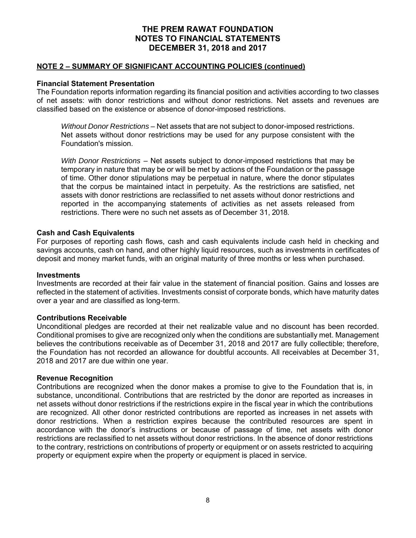### **NOTE 2 – SUMMARY OF SIGNIFICANT ACCOUNTING POLICIES (continued)**

## **Financial Statement Presentation**

The Foundation reports information regarding its financial position and activities according to two classes of net assets: with donor restrictions and without donor restrictions. Net assets and revenues are classified based on the existence or absence of donor-imposed restrictions.

*Without Donor Restrictions* – Net assets that are not subject to donor-imposed restrictions. Net assets without donor restrictions may be used for any purpose consistent with the Foundation's mission.

*With Donor Restrictions* – Net assets subject to donor-imposed restrictions that may be temporary in nature that may be or will be met by actions of the Foundation or the passage of time. Other donor stipulations may be perpetual in nature, where the donor stipulates that the corpus be maintained intact in perpetuity. As the restrictions are satisfied, net assets with donor restrictions are reclassified to net assets without donor restrictions and reported in the accompanying statements of activities as net assets released from restrictions. There were no such net assets as of December 31, 2018.

## **Cash and Cash Equivalents**

For purposes of reporting cash flows, cash and cash equivalents include cash held in checking and savings accounts, cash on hand, and other highly liquid resources, such as investments in certificates of deposit and money market funds, with an original maturity of three months or less when purchased.

### **Investments**

Investments are recorded at their fair value in the statement of financial position. Gains and losses are reflected in the statement of activities. Investments consist of corporate bonds, which have maturity dates over a year and are classified as long-term.

### **Contributions Receivable**

Unconditional pledges are recorded at their net realizable value and no discount has been recorded. Conditional promises to give are recognized only when the conditions are substantially met. Management believes the contributions receivable as of December 31, 2018 and 2017 are fully collectible; therefore, the Foundation has not recorded an allowance for doubtful accounts. All receivables at December 31, 2018 and 2017 are due within one year.

### **Revenue Recognition**

Contributions are recognized when the donor makes a promise to give to the Foundation that is, in substance, unconditional. Contributions that are restricted by the donor are reported as increases in net assets without donor restrictions if the restrictions expire in the fiscal year in which the contributions are recognized. All other donor restricted contributions are reported as increases in net assets with donor restrictions. When a restriction expires because the contributed resources are spent in accordance with the donor's instructions or because of passage of time, net assets with donor restrictions are reclassified to net assets without donor restrictions. In the absence of donor restrictions to the contrary, restrictions on contributions of property or equipment or on assets restricted to acquiring property or equipment expire when the property or equipment is placed in service.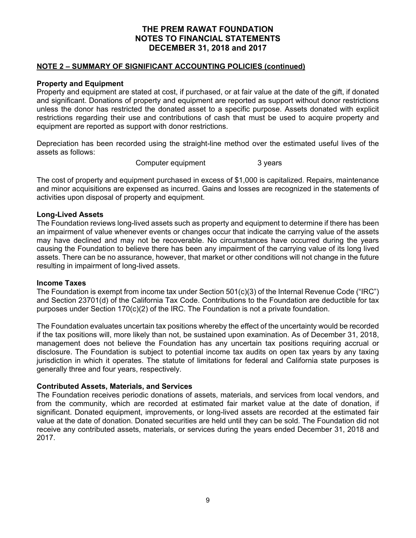### **NOTE 2 – SUMMARY OF SIGNIFICANT ACCOUNTING POLICIES (continued)**

## **Property and Equipment**

Property and equipment are stated at cost, if purchased, or at fair value at the date of the gift, if donated and significant. Donations of property and equipment are reported as support without donor restrictions unless the donor has restricted the donated asset to a specific purpose. Assets donated with explicit restrictions regarding their use and contributions of cash that must be used to acquire property and equipment are reported as support with donor restrictions.

Depreciation has been recorded using the straight-line method over the estimated useful lives of the assets as follows:

Computer equipment 3 years

The cost of property and equipment purchased in excess of \$1,000 is capitalized. Repairs, maintenance and minor acquisitions are expensed as incurred. Gains and losses are recognized in the statements of activities upon disposal of property and equipment.

## **Long-Lived Assets**

The Foundation reviews long-lived assets such as property and equipment to determine if there has been an impairment of value whenever events or changes occur that indicate the carrying value of the assets may have declined and may not be recoverable. No circumstances have occurred during the years causing the Foundation to believe there has been any impairment of the carrying value of its long lived assets. There can be no assurance, however, that market or other conditions will not change in the future resulting in impairment of long-lived assets.

### **Income Taxes**

The Foundation is exempt from income tax under Section 501(c)(3) of the Internal Revenue Code ("IRC") and Section 23701(d) of the California Tax Code. Contributions to the Foundation are deductible for tax purposes under Section 170(c)(2) of the IRC. The Foundation is not a private foundation.

The Foundation evaluates uncertain tax positions whereby the effect of the uncertainty would be recorded if the tax positions will, more likely than not, be sustained upon examination. As of December 31, 2018, management does not believe the Foundation has any uncertain tax positions requiring accrual or disclosure. The Foundation is subject to potential income tax audits on open tax years by any taxing jurisdiction in which it operates. The statute of limitations for federal and California state purposes is generally three and four years, respectively.

### **Contributed Assets, Materials, and Services**

The Foundation receives periodic donations of assets, materials, and services from local vendors, and from the community, which are recorded at estimated fair market value at the date of donation, if significant. Donated equipment, improvements, or long-lived assets are recorded at the estimated fair value at the date of donation. Donated securities are held until they can be sold. The Foundation did not receive any contributed assets, materials, or services during the years ended December 31, 2018 and 2017.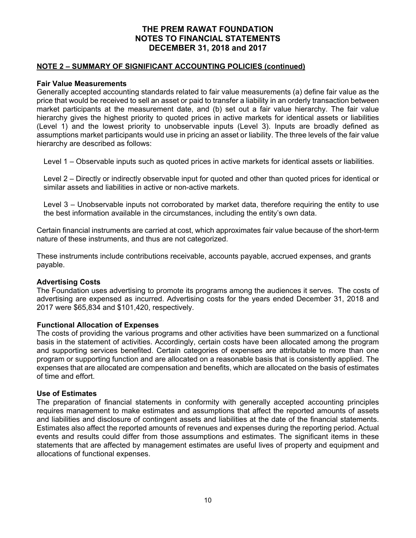### **NOTE 2 – SUMMARY OF SIGNIFICANT ACCOUNTING POLICIES (continued)**

### **Fair Value Measurements**

Generally accepted accounting standards related to fair value measurements (a) define fair value as the price that would be received to sell an asset or paid to transfer a liability in an orderly transaction between market participants at the measurement date, and (b) set out a fair value hierarchy. The fair value hierarchy gives the highest priority to quoted prices in active markets for identical assets or liabilities (Level 1) and the lowest priority to unobservable inputs (Level 3). Inputs are broadly defined as assumptions market participants would use in pricing an asset or liability. The three levels of the fair value hierarchy are described as follows:

Level 1 – Observable inputs such as quoted prices in active markets for identical assets or liabilities.

Level 2 – Directly or indirectly observable input for quoted and other than quoted prices for identical or similar assets and liabilities in active or non-active markets.

Level 3 – Unobservable inputs not corroborated by market data, therefore requiring the entity to use the best information available in the circumstances, including the entity's own data.

Certain financial instruments are carried at cost, which approximates fair value because of the short-term nature of these instruments, and thus are not categorized.

These instruments include contributions receivable, accounts payable, accrued expenses, and grants payable.

### **Advertising Costs**

The Foundation uses advertising to promote its programs among the audiences it serves. The costs of advertising are expensed as incurred. Advertising costs for the years ended December 31, 2018 and 2017 were \$65,834 and \$101,420, respectively.

### **Functional Allocation of Expenses**

The costs of providing the various programs and other activities have been summarized on a functional basis in the statement of activities. Accordingly, certain costs have been allocated among the program and supporting services benefited. Certain categories of expenses are attributable to more than one program or supporting function and are allocated on a reasonable basis that is consistently applied. The expenses that are allocated are compensation and benefits, which are allocated on the basis of estimates of time and effort.

### **Use of Estimates**

The preparation of financial statements in conformity with generally accepted accounting principles requires management to make estimates and assumptions that affect the reported amounts of assets and liabilities and disclosure of contingent assets and liabilities at the date of the financial statements. Estimates also affect the reported amounts of revenues and expenses during the reporting period. Actual events and results could differ from those assumptions and estimates. The significant items in these statements that are affected by management estimates are useful lives of property and equipment and allocations of functional expenses.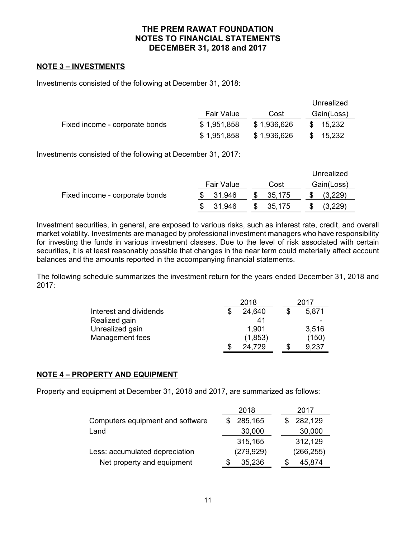## **NOTE 3 – INVESTMENTS**

Investments consisted of the following at December 31, 2018:

|                                |             |             | Unrealized |
|--------------------------------|-------------|-------------|------------|
|                                | Fair Value  | Cost        | Gain(Loss) |
| Fixed income - corporate bonds | \$1,951,858 | \$1,936,626 | 15,232     |
|                                | \$1,951,858 | \$1,936,626 | 15,232     |

Investments consisted of the following at December 31, 2017:

|                                |            |        | Unrealized |
|--------------------------------|------------|--------|------------|
|                                | Fair Value | Cost   | Gain(Loss) |
| Fixed income - corporate bonds | 31,946     | 35,175 | (3,229)    |
|                                | 31,946     | 35,175 | (3,229)    |

Investment securities, in general, are exposed to various risks, such as interest rate, credit, and overall market volatility. Investments are managed by professional investment managers who have responsibility for investing the funds in various investment classes. Due to the level of risk associated with certain securities, it is at least reasonably possible that changes in the near term could materially affect account balances and the amounts reported in the accompanying financial statements.

The following schedule summarizes the investment return for the years ended December 31, 2018 and 2017:

|                        |  | 2017     |       |
|------------------------|--|----------|-------|
| Interest and dividends |  | 24.640   | 5,871 |
| Realized gain          |  | 41       |       |
| Unrealized gain        |  | 1.901    | 3.516 |
| Management fees        |  | (1, 853) | (150) |
|                        |  | 24,729   | 9,237 |

# **NOTE 4 – PROPERTY AND EQUIPMENT**

Property and equipment at December 31, 2018 and 2017, are summarized as follows:

|                                  | 2018      | 2017      |
|----------------------------------|-----------|-----------|
| Computers equipment and software | 285,165   | 282,129   |
| Land                             | 30,000    | 30,000    |
|                                  | 315,165   | 312,129   |
| Less: accumulated depreciation   | (279,929) | (266,255) |
| Net property and equipment       | 35,236    | 45,874    |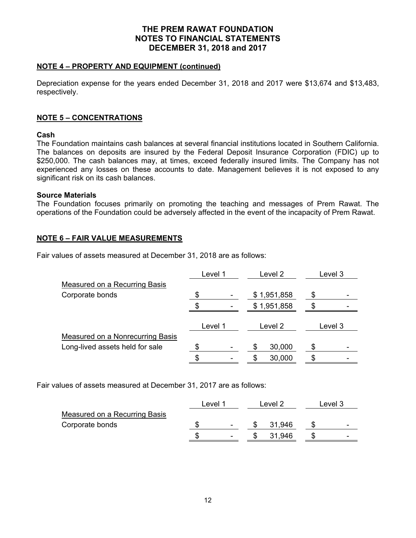## **NOTE 4 – PROPERTY AND EQUIPMENT (continued)**

Depreciation expense for the years ended December 31, 2018 and 2017 were \$13,674 and \$13,483, respectively.

# **NOTE 5 – CONCENTRATIONS**

## **Cash**

The Foundation maintains cash balances at several financial institutions located in Southern California. The balances on deposits are insured by the Federal Deposit Insurance Corporation (FDIC) up to \$250,000. The cash balances may, at times, exceed federally insured limits. The Company has not experienced any losses on these accounts to date. Management believes it is not exposed to any significant risk on its cash balances.

### **Source Materials**

The Foundation focuses primarily on promoting the teaching and messages of Prem Rawat. The operations of the Foundation could be adversely affected in the event of the incapacity of Prem Rawat.

# **NOTE 6 – FAIR VALUE MEASUREMENTS**

Fair values of assets measured at December 31, 2018 are as follows:

|                                         | Level 1 |         | Level 2 |             | Level 3 |         |
|-----------------------------------------|---------|---------|---------|-------------|---------|---------|
| <b>Measured on a Recurring Basis</b>    |         |         |         |             |         |         |
| Corporate bonds                         |         |         |         | \$1,951,858 |         |         |
|                                         |         |         |         | \$1,951,858 |         |         |
|                                         |         | Level 1 |         | Level 2     |         | Level 3 |
| <b>Measured on a Nonrecurring Basis</b> |         |         |         |             |         |         |
| Long-lived assets held for sale         |         |         |         | 30,000      |         |         |
|                                         |         |         | \$      | 30,000      |         |         |

Fair values of assets measured at December 31, 2017 are as follows:

|                               | Level 1                  | Level 2 | Level 3 |   |
|-------------------------------|--------------------------|---------|---------|---|
| Measured on a Recurring Basis |                          |         |         |   |
| Corporate bonds               | $\overline{\phantom{0}}$ | 31.946  |         | - |
|                               | $\overline{\phantom{0}}$ | 31.946  |         | - |